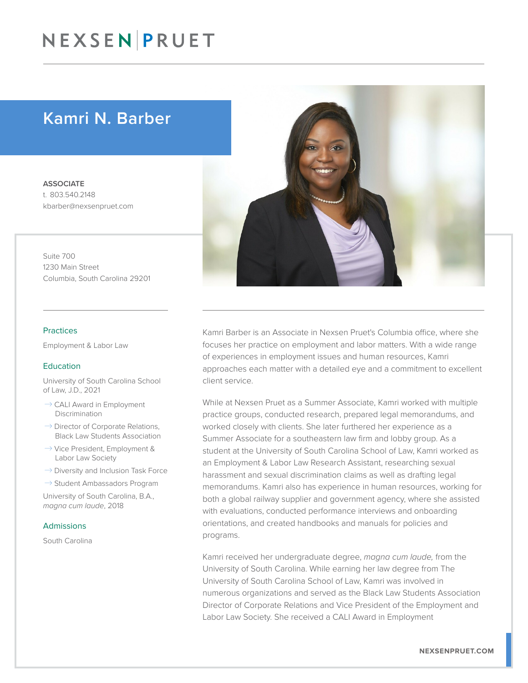### NEXSEN PRUET

### Kamri N. Barber

**ASSOCIATE** t. 803.540.2148 kbarber@nexsenpruet.com

Suite 700 1230 Main Street Columbia, South Carolina 29201

#### Practices

Employment & Labor Law

#### **Education**

University of South Carolina School of Law, J.D., 2021

- $\rightarrow$  CALI Award in Employment Discrimination
- $\rightarrow$  Director of Corporate Relations, Black Law Students Association
- $\rightarrow$  Vice President, Employment & Labor Law Society
- $\rightarrow$  Diversity and Inclusion Task Force

 $\rightarrow$  Student Ambassadors Program

University of South Carolina, B.A., *magna cum laude*, 2018

#### Admissions

South Carolina



Kamri Barber is an Associate in Nexsen Pruet's Columbia office, where she focuses her practice on employment and labor matters. With a wide range of experiences in employment issues and human resources, Kamri approaches each matter with a detailed eye and a commitment to excellent client service.

While at Nexsen Pruet as a Summer Associate, Kamri worked with multiple practice groups, conducted research, prepared legal memorandums, and worked closely with clients. She later furthered her experience as a Summer Associate for a southeastern law firm and lobby group. As a student at the University of South Carolina School of Law, Kamri worked as an Employment & Labor Law Research Assistant, researching sexual harassment and sexual discrimination claims as well as drafting legal memorandums. Kamri also has experience in human resources, working for both a global railway supplier and government agency, where she assisted with evaluations, conducted performance interviews and onboarding orientations, and created handbooks and manuals for policies and programs.

Kamri received her undergraduate degree, *magna cum laude,* from the University of South Carolina. While earning her law degree from The University of South Carolina School of Law, Kamri was involved in numerous organizations and served as the Black Law Students Association Director of Corporate Relations and Vice President of the Employment and Labor Law Society. She received a CALI Award in Employment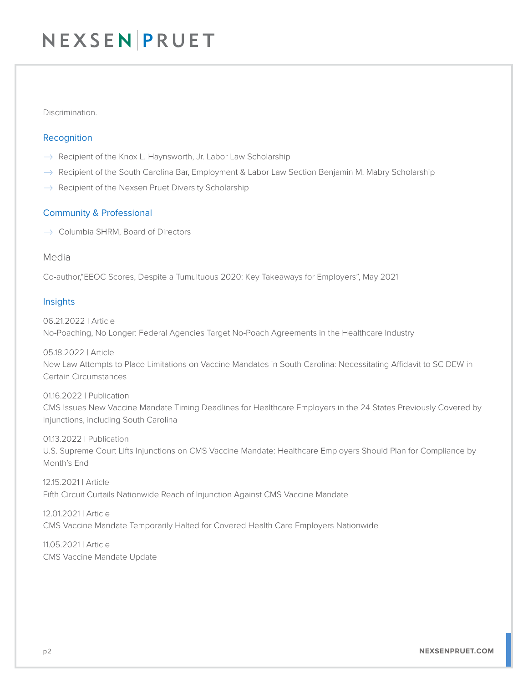## NEXSEN PRUET

#### Discrimination.

#### Recognition

- $\rightarrow$  Recipient of the Knox L. Haynsworth, Jr. Labor Law Scholarship
- $\rightarrow$  Recipient of the South Carolina Bar, Employment & Labor Law Section Benjamin M. Mabry Scholarship
- $\rightarrow$  Recipient of the Nexsen Pruet Diversity Scholarship

#### Community & Professional

 $\rightarrow$  Columbia SHRM, Board of Directors

#### Media

Co-author,"EEOC Scores, Despite a Tumultuous 2020: Key Takeaways for Employers", May 2021

#### **Insights**

06.21.2022 | Article No-Poaching, No Longer: Federal Agencies Target No-Poach Agreements in the Healthcare Industry

05.18.2022 | Article New Law Attempts to Place Limitations on Vaccine Mandates in South Carolina: Necessitating Affidavit to SC DEW in Certain Circumstances

01.16.2022 | Publication CMS Issues New Vaccine Mandate Timing Deadlines for Healthcare Employers in the 24 States Previously Covered by Injunctions, including South Carolina

01.13.2022 | Publication U.S. Supreme Court Lifts Injunctions on CMS Vaccine Mandate: Healthcare Employers Should Plan for Compliance by Month's End

12.15.2021 | Article Fifth Circuit Curtails Nationwide Reach of Injunction Against CMS Vaccine Mandate

12.01.2021 | Article CMS Vaccine Mandate Temporarily Halted for Covered Health Care Employers Nationwide

11.05.2021 | Article CMS Vaccine Mandate Update